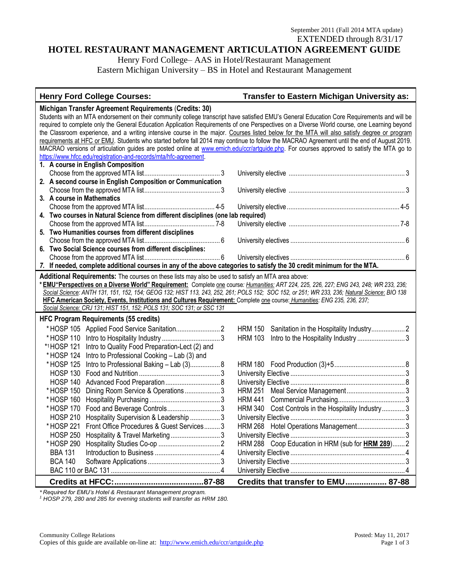# **HOTEL RESTAURANT MANAGEMENT ARTICULATION AGREEMENT GUIDE**

Henry Ford College– AAS in Hotel/Restaurant Management Eastern Michigan University – BS in Hotel and Restaurant Management

# **Henry Ford College Courses: Transfer to Eastern Michigan University as:**

#### **Michigan Transfer Agreement Requirements** (**Credits: 30)** Students with an MTA endorsement on their community college transcript have satisfied EMU's General Education Core Requirements and will be required to complete only the General Education Application Requirements of one Perspectives on a Diverse World course, one Learning beyond the Classroom experience, and a writing intensive course in the major. Courses listed below for the MTA will also satisfy degree or program requirements at HFC or EMU. Students who started before fall 2014 may continue to follow the MACRAO Agreement until the end of August 2019. MACRAO versions of articulation guides are posted online at [www.emich.edu/ccr/artguide.php.](http://www.emich.edu/ccr/artguide.php) For courses approved to satisfy the MTA go to [https://www.hfcc.edu/registration-and-records/mta/hfc-agreement.](https://www.hfcc.edu/registration-and-records/mta/hfc-agreement) **1. A course in English Composition** Choose from the approved MTA list........................................... 3 University elective .................................................................. 3 **2. A second course in English Composition or Communication** Choose from the approved MTA list........................................... 3 University elective .................................................................. 3 **3. A course in Mathematics** Choose from the approved MTA list........................................ 4-5 University elective................................................................ 4-5 **4. Two courses in Natural Science from different disciplines (one lab required)** Choose from the approved MTA list........................................ 7-8 University elective ............................................................... 7-8 **5. Two Humanities courses from different disciplines** Choose from the approved MTA list........................................... 6 University electives ................................................................. 6 **6. Two Social Science courses from different disciplines:** Choose from the approved MTA list........................................... 6 University electives ................................................................. 6 *7.* **If needed, complete additional courses in any of the above categories to satisfy the 30 credit minimum for the MTA. Additional Requirements:** The courses on these lists may also be used to satisfy an MTA area above: **\* EMU"Perspectives on a Diverse World" Requirement:** Complete one course*: Humanities: ART 224, 225, 226, 227; ENG 243, 248; WR 233, 236; Social Science: ANTH 131, 151, 152, 154; GEOG 132; HIST 113, 243, 252, 261; POLS 152; SOC 152, or 251; WR 233, 236; Natural Science*: *BIO 138* **HFC American Society, Events, Institutions and Cultures Requirement:** Complete one course: *Humanities: ENG 235, 236, 237; Social Science: CRJ 131; HIST 151, 152; POLS 131; SOC 131; or SSC 131* **HFC Program Requirements (55 credits)** \* HOSP 105 Applied Food Service Sanitation......................... 2 HRM 150 Sanitation in the Hospitality Industry................... 2 \* HOSP 110 Intro to Hospitality Industry .................................3 HRM 103 Intro to the Hospitality Industry ........................... 3 \* <sup>1</sup>HOSP 121 Intro to Quality Food Preparation-Lect (2) and \* HOSP 124 Intro to Professional Cooking – Lab (3) and \* HOSP 125 Intro to Professional Baking – Lab (3)................. 8 HRM 180 Food Production (3)+5........................................8 HOSP 130 Food and Nutrition .............................................. 3 University Elective .................................................................3 HOSP 140 Advanced Food Preparation............................... 8 University Elective .................................................................8 \* HOSP 150 Dining Room Service & Operations .................... 3 HRM 251 Meal Service Management.................................3 \* HOSP 160 Hospitality Purchasing ........................................3 HRM 441 Commercial Purchasing......................................3 \* HOSP 170 Food and Beverage Controls.............................. 3 HRM 340 Cost Controls in the Hospitality Industry.............3 HOSP 210 Hospitality Supervision & Leadership ................. 3 University Elective .................................................................3 \* HOSP 221 Front Office Procedures & Guest Services.........3 HRM 268 Hotel Operations Management........................... 3 HOSP 250 Hospitality & Travel Marketing ............................ 3 University Elective .................................................................3 \* HOSP 290 Hospitality Studies Co-op ...................................2 HRM 288 Coop Education in HRM (sub for **HRM 289**).......2 BBA 131 Introduction to Business .....................................4 University Elective .................................................................4 BCA 140 Software Applications .........................................3 University Elective .................................................................3 BAC 110 or BAC 131 .............................................................. 4 University Elective .................................................................4 **Credits at HFCC:.......................................87-88 Credits that transfer to EMU.................. 87-88**

*\* Required for EMU's Hotel & Restaurant Management program.* 

*<sup>1</sup> HOSP 279, 280 and 285 for evening students will transfer as HRM 180.*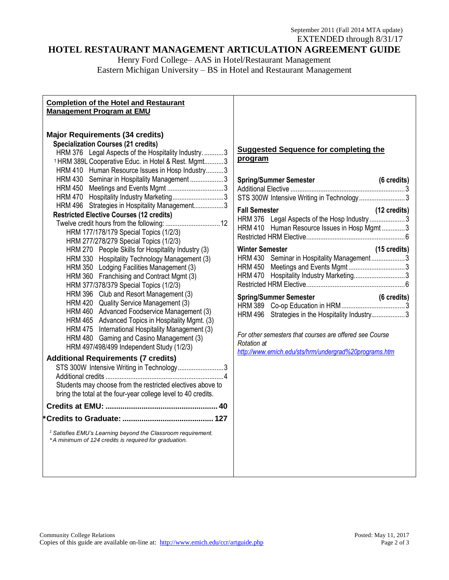# **HOTEL RESTAURANT MANAGEMENT ARTICULATION AGREEMENT GUIDE**

Henry Ford College– AAS in Hotel/Restaurant Management Eastern Michigan University – BS in Hotel and Restaurant Management

#### **Completion of the Hotel and Restaurant Management Program at EMU**

# **Major Requirements (34 credits)**

| <b>Specialization Courses (21 credits)</b>                                                                                       |  |  |  |  |
|----------------------------------------------------------------------------------------------------------------------------------|--|--|--|--|
| <b>HRM 376</b><br>Legal Aspects of the Hospitality Industry. 3                                                                   |  |  |  |  |
| <sup>1</sup> HRM 389L Cooperative Educ. in Hotel & Rest. Mgmt3                                                                   |  |  |  |  |
| Human Resource Issues in Hosp Industry3<br><b>HRM 410</b>                                                                        |  |  |  |  |
| Seminar in Hospitality Management 3<br><b>HRM 430</b>                                                                            |  |  |  |  |
| <b>HRM 450</b>                                                                                                                   |  |  |  |  |
| Hospitality Industry Marketing3<br><b>HRM 470</b>                                                                                |  |  |  |  |
| Strategies in Hospitality Management3<br><b>HRM 496</b>                                                                          |  |  |  |  |
| <b>Restricted Elective Courses (12 credits)</b>                                                                                  |  |  |  |  |
|                                                                                                                                  |  |  |  |  |
| HRM 177/178/179 Special Topics (1/2/3)                                                                                           |  |  |  |  |
| HRM 277/278/279 Special Topics (1/2/3)                                                                                           |  |  |  |  |
| People Skills for Hospitality Industry (3)<br>HRM 270                                                                            |  |  |  |  |
| Hospitality Technology Management (3)<br><b>HRM 330</b>                                                                          |  |  |  |  |
| Lodging Facilities Management (3)<br><b>HRM 350</b>                                                                              |  |  |  |  |
| Franchising and Contract Mgmt (3)<br><b>HRM 360</b>                                                                              |  |  |  |  |
| HRM 377/378/379 Special Topics (1/2/3)                                                                                           |  |  |  |  |
| Club and Resort Management (3)<br><b>HRM 396</b>                                                                                 |  |  |  |  |
| Quality Service Management (3)<br><b>HRM 420</b>                                                                                 |  |  |  |  |
| Advanced Foodservice Management (3)<br><b>HRM 460</b>                                                                            |  |  |  |  |
| Advanced Topics in Hospitality Mgmt. (3)<br><b>HRM 465</b>                                                                       |  |  |  |  |
| International Hospitality Management (3)<br><b>HRM 475</b>                                                                       |  |  |  |  |
| Gaming and Casino Management (3)<br><b>HRM 480</b>                                                                               |  |  |  |  |
| HRM 497/498/499 Independent Study (1/2/3)                                                                                        |  |  |  |  |
| <b>Additional Requirements (7 credits)</b>                                                                                       |  |  |  |  |
| STS 300W Intensive Writing in Technology3                                                                                        |  |  |  |  |
| Additional credits<br>. 4                                                                                                        |  |  |  |  |
| Students may choose from the restricted electives above to                                                                       |  |  |  |  |
| bring the total at the four-year college level to 40 credits.                                                                    |  |  |  |  |
|                                                                                                                                  |  |  |  |  |
|                                                                                                                                  |  |  |  |  |
|                                                                                                                                  |  |  |  |  |
| <sup>1</sup> Satisfies EMU's Learning beyond the Classroom requirement.<br>*A minimum of 124 credits is required for graduation. |  |  |  |  |
|                                                                                                                                  |  |  |  |  |

### **Suggested Sequence for completing the program**

|                                                         |                        | <b>Spring/Summer Semester</b>                                                                                              | (6 credits)            |
|---------------------------------------------------------|------------------------|----------------------------------------------------------------------------------------------------------------------------|------------------------|
|                                                         |                        | STS 300W Intensive Writing in Technology3                                                                                  |                        |
|                                                         | <b>Fall Semester</b>   | HRM 376 Legal Aspects of the Hosp Industry3<br>HRM 410 Human Resource Issues in Hosp Mgmt 3                                | (12 credits)           |
|                                                         | <b>Winter Semester</b> | HRM 430 Seminar in Hospitality Management3<br>HRM 450 Meetings and Events Mgmt3<br>HRM 470 Hospitality Industry Marketing3 | $(15 \text{ credits})$ |
|                                                         |                        | <b>Spring/Summer Semester</b><br>HRM 496 Strategies in the Hospitality Industry3                                           | (6 credits)            |
| For other semesters that courses are offered see Course |                        |                                                                                                                            |                        |

*Rotation at <http://www.emich.edu/sts/hrm/undergrad%20programs.htm>*